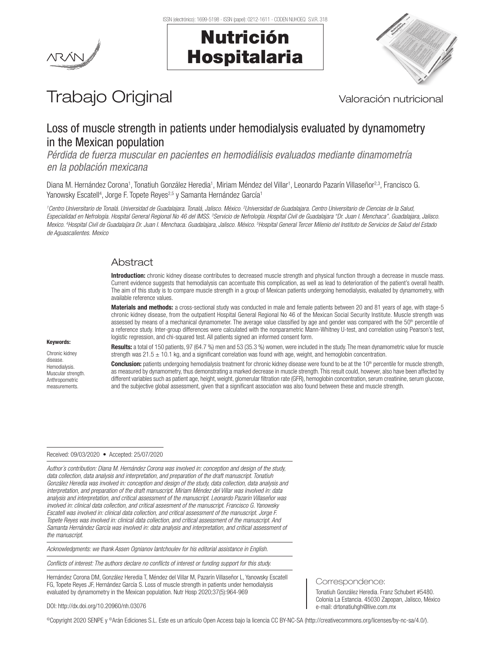



# Trabajo Original Valoración nutricional

# Loss of muscle strength in patients under hemodialysis evaluated by dynamometry in the Mexican population

*Pérdida de fuerza muscular en pacientes en hemodiálisis evaluados mediante dinamometría en la población mexicana*

Diana M. Hernández Corona<sup>1</sup>, Tonatiuh González Heredia<sup>1</sup>, Miriam Méndez del Villar<sup>1</sup>, Leonardo Pazarín Villaseñor<sup>2,3</sup>, Francisco G. Yanowsky Escatell<sup>4</sup>, Jorge F. Topete Reyes<sup>2,5</sup> y Samanta Hernández García<sup>1</sup>

<sup>1</sup>Centro Universitario de Tonalá. Universidad de Guadalajara. Tonalá, Jalisco. México. <sup>2</sup>Universitad de Guadalajara. Centro Universitario de Ciencias de la Salud, Especialidad en Nefrología. Hospital General Regional No 46 del IMSS. <sup>3</sup>Servicio de Nefrología. Hospital Civil de Guadalajara "Dr. Juan I. Menchaca". Guadalajara, Jalisco. Mexico. <sup>4</sup>Hospital Civil de Guadalajara Dr. Juan I. Menchaca. Guadalajara, Jalisco. México. <sup>5</sup>Hospital General Tercer Milenio del Instituto de Servicios de Salud del Estado *de Aguascalientes. Mexico*

# Abstract

Introduction: chronic kidney disease contributes to decreased muscle strength and physical function through a decrease in muscle mass. Current evidence suggests that hemodialysis can accentuate this complication, as well as lead to deterioration of the patient's overall health. The aim of this study is to compare muscle strength in a group of Mexican patients undergoing hemodialysis, evaluated by dynamometry, with available reference values.

Materials and methods: a cross-sectional study was conducted in male and female patients between 20 and 81 years of age, with stage-5 chronic kidney disease, from the outpatient Hospital General Regional No 46 of the Mexican Social Security Institute. Muscle strength was assessed by means of a mechanical dynamometer. The average value classified by age and gender was compared with the 50<sup>th</sup> percentile of a reference study. Inter-group differences were calculated with the nonparametric Mann-Whitney U-test, and correlation using Pearson's test, logistic regression, and chi-squared test. All patients signed an informed consent form.

Results: a total of 150 patients, 97 (64.7 %) men and 53 (35.3 %) women, were included in the study. The mean dynamometric value for muscle strength was  $21.5 \pm 10.1$  kg, and a significant correlation was found with age, weight, and hemoglobin concentration.

**Conclusion:** patients undergoing hemodialysis treatment for chronic kidney disease were found to be at the  $10<sup>th</sup>$  percentile for muscle strength, as measured by dynamometry, thus demonstrating a marked decrease in muscle strength. This result could, however, also have been affected by different variables such as patient age, height, weight, glomerular filtration rate (GFR), hemoglobin concentration, serum creatinine, serum glucose, and the subjective global assessment, given that a significant association was also found between these and muscle strength.

#### Received: 09/03/2020 • Accepted: 25/07/2020

*Author´s contribution: Diana M. Hernández Corona was involved in: conception and design of the study, data collection, data analysis and interpretation, and preparation of the draft manuscript. Tonatiuh González Heredia was involved in: conception and design of the study, data collection, data analysis and interpretation, and preparation of the draft manuscript. Miriam Méndez del Villar was involved in: data analysis and interpretation, and critical assessment of the manuscript. Leonardo Pazarin Villaseñor was involved in: clinical data collection, and critical assesment of the manuscript. Francisco G. Yanowsky Escatell was involved in: clinical data collection, and critical assessment of the manuscript. Jorge F. Topete Reyes was involved in: clinical data collection, and critical assessment of the manuscript. And Samanta Hernández García was involved in: data analysis and interpretation, and critical assessment of the manuscript.*

*Acknowledgments: we thank Assen Ognianov Iantchoulev for his editorial assistance in English.*

*Conflicts of interest: The authors declare no conflicts of interest or funding support for this study.*

Hernández Corona DM, González Heredia T, Méndez del Villar M, Pazarín Villaseñor L, Yanowsky Escatell FG, Topete Reyes JF, Hernández García S. Loss of muscle strength in patients under hemodialysis evaluated by dynamometry in the Mexican population. Nutr Hosp 2020;37(5):964-969

DOI: http://dx.doi.org/10.20960/nh.03076

©Copyright 2020 SENPE y ©Arán Ediciones S.L. Este es un artículo Open Access bajo la licencia CC BY-NC-SA (http://creativecommons.org/licenses/by-nc-sa/4.0/).

Chronic kidney disease.

Keywords:

Hemodialysis. Muscular strength Anthropometric measurements.

# Correspondence:

Tonatiuh González Heredia. Franz Schubert #5480. Colonia La Estancia. 45030 Zapopan, Jalisco, México e-mail: drtonatiuhgh@live.com.mx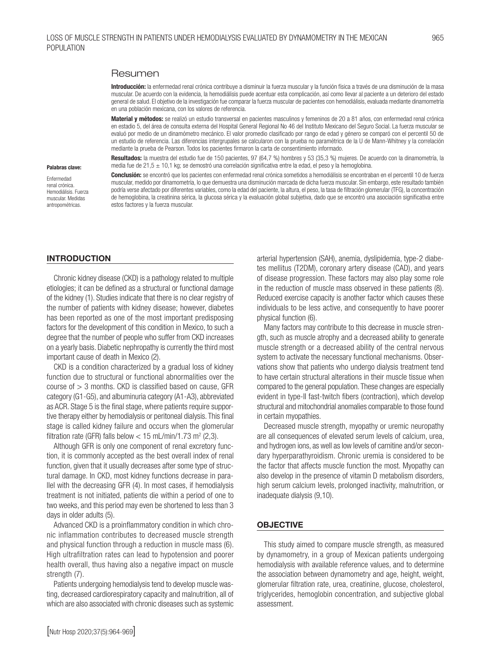# Resumen

Introducción: la enfermedad renal crónica contribuye a disminuir la fuerza muscular y la función física a través de una disminución de la masa muscular. De acuerdo con la evidencia, la hemodiálisis puede acentuar esta complicación, así como llevar al paciente a un deterioro del estado general de salud. El objetivo de la investigación fue comparar la fuerza muscular de pacientes con hemodiálisis, evaluada mediante dinamometría en una población mexicana, con los valores de referencia.

Material y métodos: se realizó un estudio transversal en pacientes masculinos y femeninos de 20 a 81 años, con enfermedad renal crónica en estadio 5, del área de consulta externa del Hospital General Regional No 46 del Instituto Mexicano del Seguro Social. La fuerza muscular se evaluó por medio de un dinamómetro mecánico. El valor promedio clasificado por rango de edad y género se comparó con el percentil 50 de un estudio de referencia. Las diferencias intergrupales se calcularon con la prueba no paramétrica de la U de Mann-Whitney y la correlación mediante la prueba de Pearson. Todos los pacientes firmaron la carta de consentimiento informado.

Resultados: la muestra del estudio fue de 150 pacientes, 97 (64,7 %) hombres y 53 (35,3 %) mujeres. De acuerdo con la dinamometría, la media fue de 21,5 ± 10,1 kg; se demostró una correlación significativa entre la edad, el peso y la hemoglobina.

Conclusión: se encontró que los pacientes con enfermedad renal crónica sometidos a hemodiálisis se encontraban en el percentil 10 de fuerza muscular, medido por dinamometría, lo que demuestra una disminución marcada de dicha fuerza muscular. Sin embargo, este resultado también podría verse afectado por diferentes variables, como la edad del paciente, la altura, el peso, la tasa de filtración glomerular (TFG), la concentración de hemoglobina, la creatinina sérica, la glucosa sérica y la evaluación global subjetiva, dado que se encontró una asociación significativa entre estos factores y la fuerza muscular.

#### Palabras clave: Enfermedad

renal crónica. Hemodiálisis. Fuerza muscular. Medidas antropométricas.

#### INTRODUCTION

Chronic kidney disease (CKD) is a pathology related to multiple etiologies; it can be defined as a structural or functional damage of the kidney (1). Studies indicate that there is no clear registry of the number of patients with kidney disease; however, diabetes has been reported as one of the most important predisposing factors for the development of this condition in Mexico, to such a degree that the number of people who suffer from CKD increases on a yearly basis. Diabetic nephropathy is currently the third most important cause of death in Mexico (2).

CKD is a condition characterized by a gradual loss of kidney function due to structural or functional abnormalities over the course of  $> 3$  months. CKD is classified based on cause, GFR category (G1-G5), and albuminuria category (A1-A3), abbreviated as ACR. Stage 5 is the final stage, where patients require supportive therapy either by hemodialysis or peritoneal dialysis. This final stage is called kidney failure and occurs when the glomerular filtration rate (GFR) falls below  $<$  15 mL/min/1.73 m<sup>2</sup> (2,3).

Although GFR is only one component of renal excretory function, it is commonly accepted as the best overall index of renal function, given that it usually decreases after some type of structural damage. In CKD, most kidney functions decrease in parallel with the decreasing GFR (4). In most cases, if hemodialysis treatment is not initiated, patients die within a period of one to two weeks, and this period may even be shortened to less than 3 days in older adults (5).

Advanced CKD is a proinflammatory condition in which chronic inflammation contributes to decreased muscle strength and physical function through a reduction in muscle mass (6). High ultrafiltration rates can lead to hypotension and poorer health overall, thus having also a negative impact on muscle strength (7).

Patients undergoing hemodialysis tend to develop muscle wasting, decreased cardiorespiratory capacity and malnutrition, all of which are also associated with chronic diseases such as systemic arterial hypertension (SAH), anemia, dyslipidemia, type-2 diabetes mellitus (T2DM), coronary artery disease (CAD), and years of disease progression. These factors may also play some role in the reduction of muscle mass observed in these patients (8). Reduced exercise capacity is another factor which causes these individuals to be less active, and consequently to have poorer physical function (6).

Many factors may contribute to this decrease in muscle strength, such as muscle atrophy and a decreased ability to generate muscle strength or a decreased ability of the central nervous system to activate the necessary functional mechanisms. Observations show that patients who undergo dialysis treatment tend to have certain structural alterations in their muscle tissue when compared to the general population. These changes are especially evident in type-II fast-twitch fibers (contraction), which develop structural and mitochondrial anomalies comparable to those found in certain myopathies.

Decreased muscle strength, myopathy or uremic neuropathy are all consequences of elevated serum levels of calcium, urea, and hydrogen ions, as well as low levels of carnitine and/or secondary hyperparathyroidism. Chronic uremia is considered to be the factor that affects muscle function the most. Myopathy can also develop in the presence of vitamin D metabolism disorders, high serum calcium levels, prolonged inactivity, malnutrition, or inadequate dialysis (9,10).

#### **OBJECTIVE**

This study aimed to compare muscle strength, as measured by dynamometry, in a group of Mexican patients undergoing hemodialysis with available reference values, and to determine the association between dynamometry and age, height, weight, glomerular filtration rate, urea, creatinine, glucose, cholesterol, triglycerides, hemoglobin concentration, and subjective global assessment.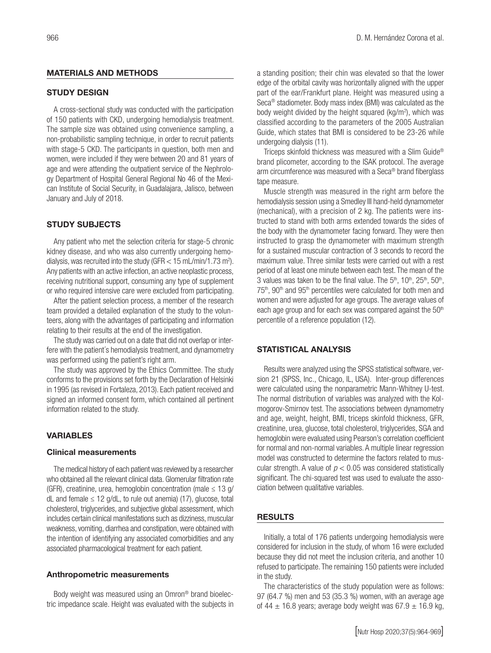#### MATERIALS AND METHODS

#### STUDY DESIGN

A cross-sectional study was conducted with the participation of 150 patients with CKD, undergoing hemodialysis treatment. The sample size was obtained using convenience sampling, a non-probabilistic sampling technique, in order to recruit patients with stage-5 CKD. The participants in question, both men and women, were included if they were between 20 and 81 years of age and were attending the outpatient service of the Nephrology Department of Hospital General Regional No 46 of the Mexican Institute of Social Security, in Guadalajara, Jalisco, between January and July of 2018.

#### STUDY SUBJECTS

Any patient who met the selection criteria for stage-5 chronic kidney disease, and who was also currently undergoing hemodialysis, was recruited into the study (GFR  $<$  15 mL/min/1.73 m<sup>2</sup>). Any patients with an active infection, an active neoplastic process, receiving nutritional support, consuming any type of supplement or who required intensive care were excluded from participating.

After the patient selection process, a member of the research team provided a detailed explanation of the study to the volunteers, along with the advantages of participating and information relating to their results at the end of the investigation.

The study was carried out on a date that did not overlap or interfere with the patient´s hemodialysis treatment, and dynamometry was performed using the patient's right arm.

The study was approved by the Ethics Committee. The study conforms to the provisions set forth by the Declaration of Helsinki in 1995 (as revised in Fortaleza, 2013). Each patient received and signed an informed consent form, which contained all pertinent information related to the study.

# VARIABLES

#### Clinical measurements

The medical history of each patient was reviewed by a researcher who obtained all the relevant clinical data. Glomerular filtration rate (GFR), creatinine, urea, hemoglobin concentration (male  $\leq 13$  g/ dL and female  $\leq$  12 g/dL, to rule out anemia) (17), glucose, total cholesterol, triglycerides, and subjective global assessment, which includes certain clinical manifestations such as dizziness, muscular weakness, vomiting, diarrhea and constipation, were obtained with the intention of identifying any associated comorbidities and any associated pharmacological treatment for each patient.

#### Anthropometric measurements

Body weight was measured using an Omron® brand bioelectric impedance scale. Height was evaluated with the subjects in a standing position; their chin was elevated so that the lower edge of the orbital cavity was horizontally aligned with the upper part of the ear/Frankfurt plane. Height was measured using a Seca® stadiometer. Body mass index (BMI) was calculated as the body weight divided by the height squared (kg/m<sup>2</sup>), which was classified according to the parameters of the 2005 Australian Guide, which states that BMI is considered to be 23-26 while undergoing dialysis (11).

Triceps skinfold thickness was measured with a Slim Guide® brand plicometer, according to the ISAK protocol. The average arm circumference was measured with a Seca® brand fiberglass tape measure.

Muscle strength was measured in the right arm before the hemodialysis session using a Smedley III hand-held dynamometer (mechanical), with a precision of 2 kg. The patients were instructed to stand with both arms extended towards the sides of the body with the dynamometer facing forward. They were then instructed to grasp the dynamometer with maximum strength for a sustained muscular contraction of 3 seconds to record the maximum value. Three similar tests were carried out with a rest period of at least one minute between each test. The mean of the 3 values was taken to be the final value. The  $5<sup>th</sup>$ ,  $10<sup>th</sup>$ ,  $25<sup>th</sup>$ ,  $50<sup>th</sup>$ , 75<sup>th</sup>, 90<sup>th</sup> and 95<sup>th</sup> percentiles were calculated for both men and women and were adjusted for age groups. The average values of each age group and for each sex was compared against the 50<sup>th</sup> percentile of a reference population (12).

#### STATISTICAL ANALYSIS

Results were analyzed using the SPSS statistical software, version 21 (SPSS, Inc., Chicago, IL, USA). Inter-group differences were calculated using the nonparametric Mann-Whitney U-test. The normal distribution of variables was analyzed with the Kolmogorov-Smirnov test. The associations between dynamometry and age, weight, height, BMI, triceps skinfold thickness, GFR, creatinine, urea, glucose, total cholesterol, triglycerides, SGA and hemoglobin were evaluated using Pearson's correlation coefficient for normal and non-normal variables. A multiple linear regression model was constructed to determine the factors related to muscular strength. A value of *p* < 0.05 was considered statistically significant. The chi-squared test was used to evaluate the association between qualitative variables.

#### RESULTS

Initially, a total of 176 patients undergoing hemodialysis were considered for inclusion in the study, of whom 16 were excluded because they did not meet the inclusion criteria, and another 10 refused to participate. The remaining 150 patients were included in the study.

The characteristics of the study population were as follows: 97 (64.7 %) men and 53 (35.3 %) women, with an average age of 44  $\pm$  16.8 years; average body weight was 67.9  $\pm$  16.9 kg,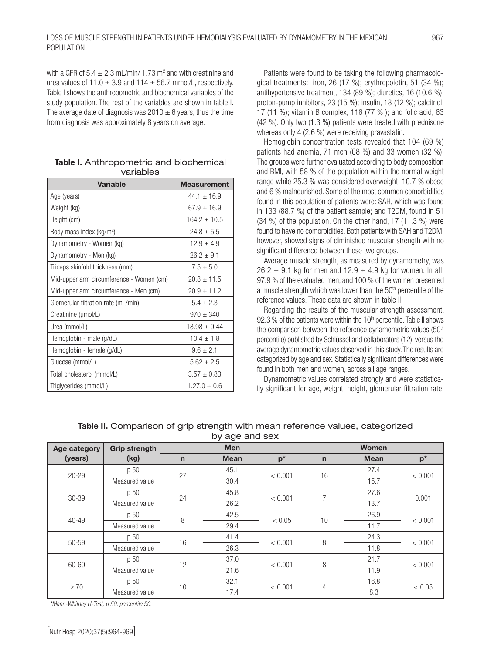with a GFR of  $5.4 \pm 2.3$  mL/min/ 1.73 m<sup>2</sup> and with creatinine and urea values of  $11.0 \pm 3.9$  and  $114 \pm 56.7$  mmol/L, respectively. Table I shows the anthropometric and biochemical variables of the study population. The rest of the variables are shown in table I. The average date of diagnosis was  $2010 \pm 6$  years, thus the time from diagnosis was approximately 8 years on average.

| <b>Variable</b>                          | <b>Measurement</b> |  |  |
|------------------------------------------|--------------------|--|--|
| Age (years)                              | $44.1 \pm 16.9$    |  |  |
| Weight (kg)                              | $67.9 \pm 16.9$    |  |  |
| Height (cm)                              | $164.2 \pm 10.5$   |  |  |
| Body mass index (kg/m <sup>2</sup> )     | $24.8 \pm 5.5$     |  |  |
| Dynamometry - Women (kg)                 | $12.9 \pm 4.9$     |  |  |
| Dynamometry - Men (kg)                   | $26.2 + 9.1$       |  |  |
| Triceps skinfold thickness (mm)          | $7.5 \pm 5.0$      |  |  |
| Mid-upper arm circumference - Women (cm) | $20.8 \pm 11.5$    |  |  |
| Mid-upper arm circumference - Men (cm)   | $20.9 \pm 11.2$    |  |  |
| Glomerular filtration rate (mL/min)      | $5.4 + 2.3$        |  |  |
| Creatinine (umol/L)                      | $970 \pm 340$      |  |  |
| Urea (mmol/L)                            | $18.98 \pm 9.44$   |  |  |
| Hemoglobin - male (g/dL)                 | $10.4 \pm 1.8$     |  |  |
| Hemoglobin - female (g/dL)               | $9.6 \pm 2.1$      |  |  |
| Glucose (mmol/L)                         | $5.62 \pm 2.5$     |  |  |
| Total cholesterol (mmol/L)               | $3.57 \pm 0.83$    |  |  |
| Triglycerides (mmol/L)                   | $1.27.0 \pm 0.6$   |  |  |

|           | <b>Table I.</b> Anthropometric and biochemical |  |  |  |  |
|-----------|------------------------------------------------|--|--|--|--|
| variables |                                                |  |  |  |  |

Patients were found to be taking the following pharmacological treatments: iron, 26 (17 %); erythropoietin, 51 (34 %); antihypertensive treatment, 134 (89 %); diuretics, 16 (10.6 %); proton-pump inhibitors, 23 (15 %); insulin, 18 (12 %); calcitriol, 17 (11 %); vitamin B complex, 116 (77 % ); and folic acid, 63 (42 %). Only two (1.3 %) patients were treated with prednisone whereas only 4 (2.6 %) were receiving pravastatin.

Hemoglobin concentration tests revealed that 104 (69 %) patients had anemia, 71 men (68 %) and 33 women (32 %). The groups were further evaluated according to body composition and BMI, with 58 % of the population within the normal weight range while 25.3 % was considered overweight, 10.7 % obese and 6 % malnourished. Some of the most common comorbidities found in this population of patients were: SAH, which was found in 133 (88.7 %) of the patient sample; and T2DM, found in 51 (34 %) of the population. On the other hand, 17 (11.3 %) were found to have no comorbidities. Both patients with SAH and T2DM, however, showed signs of diminished muscular strength with no significant difference between these two groups.

Average muscle strength, as measured by dynamometry, was  $26.2 \pm 9.1$  kg for men and  $12.9 \pm 4.9$  kg for women. In all, 97.9 % of the evaluated men, and 100 % of the women presented a muscle strength which was lower than the  $50<sup>th</sup>$  percentile of the reference values. These data are shown in table II.

Regarding the results of the muscular strength assessment, 92.3 % of the patients were within the  $10<sup>th</sup>$  percentile. Table II shows the comparison between the reference dynamometric values  $(50<sup>th</sup>)$ percentile) published by Schlüssel and collaborators (12), versus the average dynamometric values observed in this study. The results are categorized by age and sex. Statistically significant differences were found in both men and women, across all age ranges.

Dynamometric values correlated strongly and were statistically significant for age, weight, height, glomerular filtration rate,

| Age category | Grip strength  | -- -- -- -- -- - - -<br><b>Men</b> |             |         | <b>Women</b> |             |         |  |
|--------------|----------------|------------------------------------|-------------|---------|--------------|-------------|---------|--|
| (years)      | (kg)           | $\mathsf{n}$                       | <b>Mean</b> | $p^*$   | $\mathsf{n}$ | <b>Mean</b> | $p^*$   |  |
| $20 - 29$    | p 50           | 27                                 | 45.1        | < 0.001 | 16           | 27.4        | < 0.001 |  |
|              | Measured value |                                    | 30.4        |         |              | 15.7        |         |  |
| $30 - 39$    | p 50           | 24                                 | 45.8        | < 0.001 | 7            | 27.6        | 0.001   |  |
|              | Measured value |                                    | 26.2        |         |              | 13.7        |         |  |
| 40-49        | p 50           | 8                                  | 42.5        | < 0.05  | 10           | 26.9        | < 0.001 |  |
|              | Measured value |                                    | 29.4        |         |              | 11.7        |         |  |
| 50-59        | p 50           | 16                                 | 41.4        | < 0.001 | 8            | 24.3        | < 0.001 |  |
|              | Measured value |                                    | 26.3        |         |              | 11.8        |         |  |
| 60-69        | p 50           | 12                                 | 37.0        | < 0.001 | 8            | 21.7        | < 0.001 |  |
|              | Measured value |                                    | 21.6        |         |              | 11.9        |         |  |
| $\geq 70$    | p 50           | 10                                 | 32.1        | < 0.001 | 4            | 16.8        | < 0.05  |  |
|              | Measured value |                                    | 17.4        |         |              | 8.3         |         |  |

# Table II. Comparison of grip strength with mean reference values, categorized by age and sex

*\*Mann-Whitney U-Test; p 50: percentile 50.*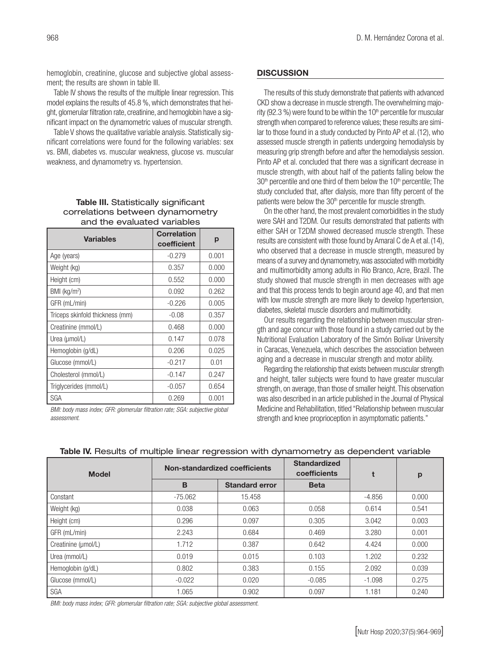hemoglobin, creatinine, glucose and subjective global assessment; the results are shown in table III.

Table IV shows the results of the multiple linear regression. This model explains the results of 45.8 %, which demonstrates that height, glomerular filtration rate, creatinine, and hemoglobin have a significant impact on the dynamometric values of muscular strength.

Table V shows the qualitative variable analysis. Statistically significant correlations were found for the following variables: sex vs. BMI, diabetes vs. muscular weakness, glucose vs. muscular weakness, and dynamometry vs. hypertension.

#### Table III. Statistically significant correlations between dynamometry and the evaluated variables

| <b>Variables</b>                | <b>Correlation</b><br>coefficient | р     |
|---------------------------------|-----------------------------------|-------|
| Age (years)                     | $-0.279$                          | 0.001 |
| Weight (kg)                     | 0.357                             | 0.000 |
| Height (cm)                     | 0.552                             | 0.000 |
| BMI (kg/m <sup>2</sup> )        | 0.092                             | 0.262 |
| GFR (mL/min)                    | $-0.226$                          | 0.005 |
| Triceps skinfold thickness (mm) | $-0.08$                           | 0.357 |
| Creatinine (mmol/L)             | 0.468                             | 0.000 |
| Urea (umol/L)                   | 0.147                             | 0.078 |
| Hemoglobin (g/dL)               | 0.206                             | 0.025 |
| Glucose (mmol/L)                | $-0.217$                          | 0.01  |
| Cholesterol (mmol/L)            | $-0.147$                          | 0.247 |
| Triglycerides (mmol/L)          | $-0.057$                          | 0.654 |
| SGA                             | 0.269                             | 0.001 |

*BMI: body mass index; GFR: glomerular filtration rate; SGA: subjective global assessment.* 

# **DISCUSSION**

The results of this study demonstrate that patients with advanced CKD show a decrease in muscle strength. The overwhelming majority (92.3 %) were found to be within the  $10<sup>th</sup>$  percentile for muscular strength when compared to reference values; these results are similar to those found in a study conducted by Pinto AP et al.(12), who assessed muscle strength in patients undergoing hemodialysis by measuring grip strength before and after the hemodialysis session. Pinto AP et al. concluded that there was a significant decrease in muscle strength, with about half of the patients falling below the  $30<sup>th</sup>$  percentile and one third of them below the 10<sup>th</sup> percentile; The study concluded that, after dialysis, more than fifty percent of the patients were below the 30<sup>th</sup> percentile for muscle strength.

On the other hand, the most prevalent comorbidities in the study were SAH and T2DM. Our results demonstrated that patients with either SAH or T2DM showed decreased muscle strength. These results are consistent with those found by Amaral C de A et al.(14), who observed that a decrease in muscle strength, measured by means of a survey and dynamometry, was associated with morbidity and multimorbidity among adults in Rio Branco, Acre, Brazil. The study showed that muscle strength in men decreases with age and that this process tends to begin around age 40, and that men with low muscle strength are more likely to develop hypertension, diabetes, skeletal muscle disorders and multimorbidity.

Our results regarding the relationship between muscular strength and age concur with those found in a study carried out by the Nutritional Evaluation Laboratory of the Simón Bolívar University in Caracas, Venezuela, which describes the association between aging and a decrease in muscular strength and motor ability.

Regarding the relationship that exists between muscular strength and height, taller subjects were found to have greater muscular strength, on average, than those of smaller height. This observation was also described in an article published in the Journal of Physical Medicine and Rehabilitation, titled "Relationship between muscular strength and knee proprioception in asymptomatic patients."

| <b>Model</b>        |           | Non-standardized coefficients | <b>Standardized</b><br>coefficients | t        | p     |
|---------------------|-----------|-------------------------------|-------------------------------------|----------|-------|
|                     | B         | <b>Standard error</b>         | <b>Beta</b>                         |          |       |
| Constant            | $-75.062$ | 15.458                        |                                     | $-4.856$ | 0.000 |
| Weight (kg)         | 0.038     | 0.063                         | 0.058                               | 0.614    | 0.541 |
| Height (cm)         | 0.296     | 0.097                         | 0.305                               | 3.042    | 0.003 |
| GFR (mL/min)        | 2.243     | 0.684                         | 0.469                               | 3.280    | 0.001 |
| Creatinine (µmol/L) | 1.712     | 0.387                         | 0.642                               | 4.424    | 0.000 |
| Urea (mmol/L)       | 0.019     | 0.015                         | 0.103                               | 1.202    | 0.232 |
| Hemoglobin (g/dL)   | 0.802     | 0.383                         | 0.155                               | 2.092    | 0.039 |
| Glucose (mmol/L)    | $-0.022$  | 0.020                         | $-0.085$                            | $-1.098$ | 0.275 |
| SGA                 | 1.065     | 0.902                         | 0.097                               | 1.181    | 0.240 |

# Table IV. Results of multiple linear regression with dynamometry as dependent variable

*BMI: body mass index; GFR: glomerular filtration rate; SGA: subjective global assessment.*